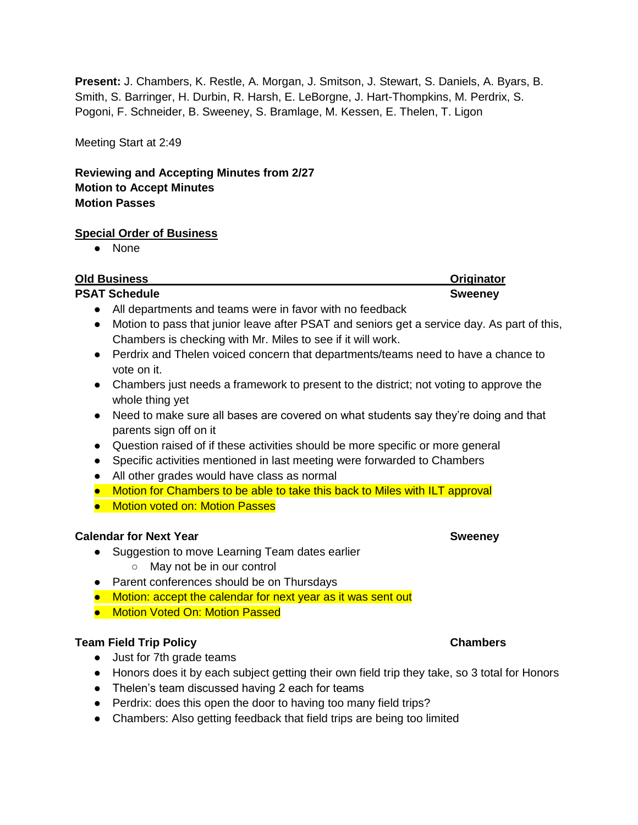**Present:** J. Chambers, K. Restle, A. Morgan, J. Smitson, J. Stewart, S. Daniels, A. Byars, B. Smith, S. Barringer, H. Durbin, R. Harsh, E. LeBorgne, J. Hart-Thompkins, M. Perdrix, S. Pogoni, F. Schneider, B. Sweeney, S. Bramlage, M. Kessen, E. Thelen, T. Ligon

Meeting Start at 2:49

**Reviewing and Accepting Minutes from 2/27 Motion to Accept Minutes Motion Passes** 

### **Special Order of Business**

● None

| <b>Old Business</b>                                                                                                        | Originator     |
|----------------------------------------------------------------------------------------------------------------------------|----------------|
| <b>PSAT Schedule</b>                                                                                                       | <b>Sweeney</b> |
| All departments and teams were in favor with no feedback<br>$\bullet$                                                      |                |
| Motion to pass that junior leave after PSAT and seniors get a service day. As part of this,<br>$\bullet$                   |                |
| Chambers is checking with Mr. Miles to see if it will work.                                                                |                |
| Perdrix and Thelen voiced concern that departments/teams need to have a chance to<br>$\bullet$<br>vote on it.              |                |
| Chambers just needs a framework to present to the district; not voting to approve the<br>$\bullet$<br>whole thing yet      |                |
| Need to make sure all bases are covered on what students say they're doing and that<br>$\bullet$<br>parents sign off on it |                |
| Question raised of if these activities should be more specific or more general<br>$\bullet$                                |                |
| Specific activities mentioned in last meeting were forwarded to Chambers<br>$\bullet$                                      |                |
| All other grades would have class as normal<br>$\bullet$                                                                   |                |
| Motion for Chambers to be able to take this back to Miles with ILT approval                                                |                |
| <b>Motion voted on: Motion Passes</b>                                                                                      |                |
| <b>Calendar for Next Year</b>                                                                                              | <b>Sweeney</b> |
| Suggestion to move Learning Team dates earlier                                                                             |                |
| May not be in our control<br>$\circ$                                                                                       |                |

- Parent conferences should be on Thursdays
- Motion: accept the calendar for next year as it was sent out
- Motion Voted On: Motion Passed

### **Team Field Trip Policy Chambers**

- Just for 7th grade teams
- Honors does it by each subject getting their own field trip they take, so 3 total for Honors
- Thelen's team discussed having 2 each for teams
- Perdrix: does this open the door to having too many field trips?
- Chambers: Also getting feedback that field trips are being too limited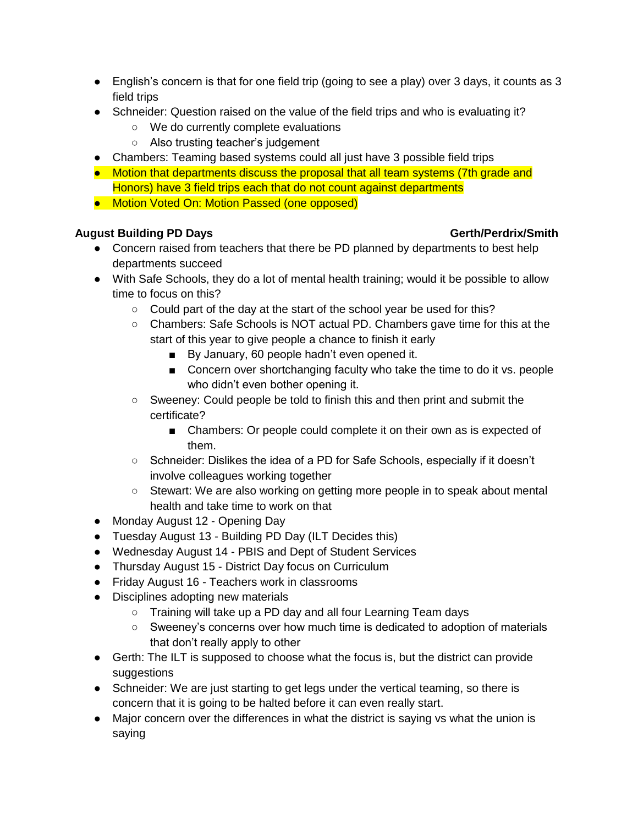- $\bullet$  English's concern is that for one field trip (going to see a play) over 3 days, it counts as 3 field trips
- Schneider: Question raised on the value of the field trips and who is evaluating it?
	- We do currently complete evaluations
	- Also trusting teacher's judgement
- Chambers: Teaming based systems could all just have 3 possible field trips
- Motion that departments discuss the proposal that all team systems (7th grade and Honors) have 3 field trips each that do not count against departments
- Motion Voted On: Motion Passed (one opposed)

# **August Building PD Days Gerth/Perdrix/Smith**

- Concern raised from teachers that there be PD planned by departments to best help departments succeed
- With Safe Schools, they do a lot of mental health training; would it be possible to allow time to focus on this?
	- Could part of the day at the start of the school year be used for this?
	- Chambers: Safe Schools is NOT actual PD. Chambers gave time for this at the start of this year to give people a chance to finish it early
		- By January, 60 people hadn't even opened it.
		- Concern over shortchanging faculty who take the time to do it vs. people who didn't even bother opening it.
	- Sweeney: Could people be told to finish this and then print and submit the certificate?
		- Chambers: Or people could complete it on their own as is expected of them.
	- Schneider: Dislikes the idea of a PD for Safe Schools, especially if it doesn't involve colleagues working together
	- Stewart: We are also working on getting more people in to speak about mental health and take time to work on that
- Monday August 12 Opening Day
- Tuesday August 13 Building PD Day (ILT Decides this)
- Wednesday August 14 PBIS and Dept of Student Services
- Thursday August 15 District Day focus on Curriculum
- Friday August 16 Teachers work in classrooms
- Disciplines adopting new materials
	- Training will take up a PD day and all four Learning Team days
	- Sweeney's concerns over how much time is dedicated to adoption of materials that don't really apply to other
- Gerth: The ILT is supposed to choose what the focus is, but the district can provide suggestions
- Schneider: We are just starting to get legs under the vertical teaming, so there is concern that it is going to be halted before it can even really start.
- Major concern over the differences in what the district is saying vs what the union is saying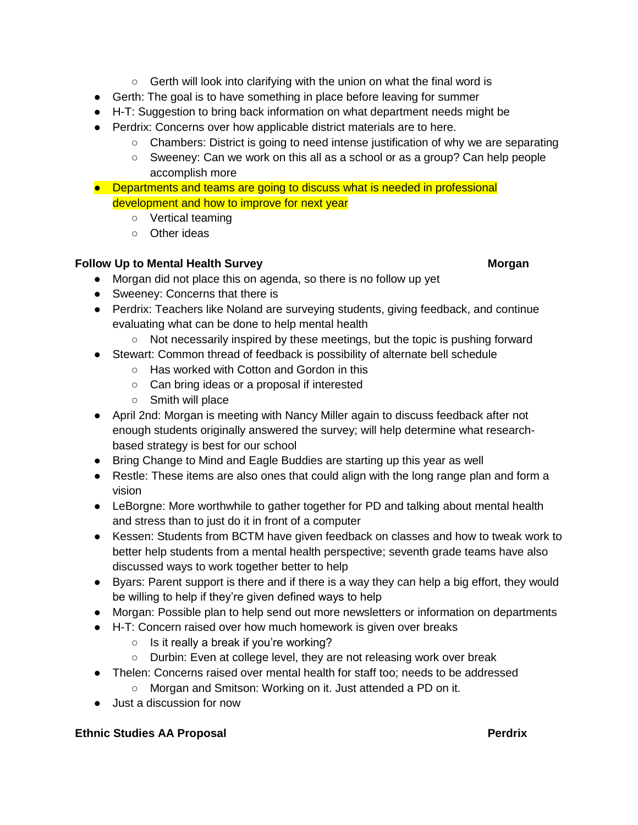- Gerth will look into clarifying with the union on what the final word is
- Gerth: The goal is to have something in place before leaving for summer
- H-T: Suggestion to bring back information on what department needs might be
- Perdrix: Concerns over how applicable district materials are to here.
	- Chambers: District is going to need intense justification of why we are separating
	- Sweeney: Can we work on this all as a school or as a group? Can help people accomplish more
- Departments and teams are going to discuss what is needed in professional development and how to improve for next year
	- Vertical teaming
	- Other ideas

# **Follow Up to Mental Health Survey Morgan**

- Morgan did not place this on agenda, so there is no follow up yet
- Sweeney: Concerns that there is
- Perdrix: Teachers like Noland are surveying students, giving feedback, and continue evaluating what can be done to help mental health
	- Not necessarily inspired by these meetings, but the topic is pushing forward
- Stewart: Common thread of feedback is possibility of alternate bell schedule
	- Has worked with Cotton and Gordon in this
	- Can bring ideas or a proposal if interested
	- Smith will place
- April 2nd: Morgan is meeting with Nancy Miller again to discuss feedback after not enough students originally answered the survey; will help determine what researchbased strategy is best for our school
- Bring Change to Mind and Eagle Buddies are starting up this year as well
- Restle: These items are also ones that could align with the long range plan and form a vision
- LeBorgne: More worthwhile to gather together for PD and talking about mental health and stress than to just do it in front of a computer
- Kessen: Students from BCTM have given feedback on classes and how to tweak work to better help students from a mental health perspective; seventh grade teams have also discussed ways to work together better to help
- Byars: Parent support is there and if there is a way they can help a big effort, they would be willing to help if they're given defined ways to help
- Morgan: Possible plan to help send out more newsletters or information on departments
- H-T: Concern raised over how much homework is given over breaks
	- Is it really a break if you're working?
	- Durbin: Even at college level, they are not releasing work over break
- Thelen: Concerns raised over mental health for staff too; needs to be addressed
	- Morgan and Smitson: Working on it. Just attended a PD on it.
- Just a discussion for now

## **Ethnic Studies AA Proposal <b>Perdrix Perdrix**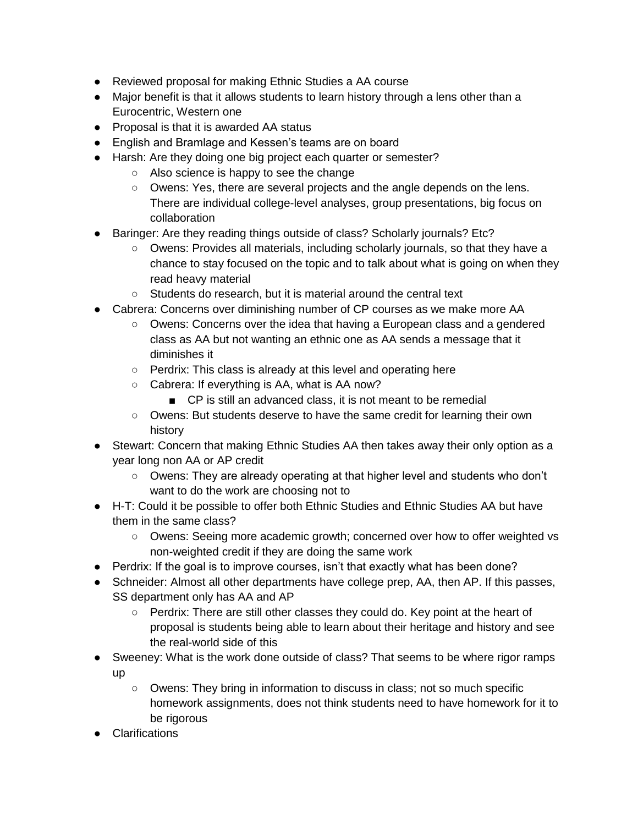- Reviewed proposal for making Ethnic Studies a AA course
- Major benefit is that it allows students to learn history through a lens other than a Eurocentric, Western one
- Proposal is that it is awarded AA status
- English and Bramlage and Kessen's teams are on board
- Harsh: Are they doing one big project each quarter or semester?
	- Also science is happy to see the change
	- Owens: Yes, there are several projects and the angle depends on the lens. There are individual college-level analyses, group presentations, big focus on collaboration
- Baringer: Are they reading things outside of class? Scholarly journals? Etc?
	- Owens: Provides all materials, including scholarly journals, so that they have a chance to stay focused on the topic and to talk about what is going on when they read heavy material
	- Students do research, but it is material around the central text
- Cabrera: Concerns over diminishing number of CP courses as we make more AA
	- Owens: Concerns over the idea that having a European class and a gendered class as AA but not wanting an ethnic one as AA sends a message that it diminishes it
	- Perdrix: This class is already at this level and operating here
	- Cabrera: If everything is AA, what is AA now?
		- CP is still an advanced class, it is not meant to be remedial
	- Owens: But students deserve to have the same credit for learning their own history
- Stewart: Concern that making Ethnic Studies AA then takes away their only option as a year long non AA or AP credit
	- Owens: They are already operating at that higher level and students who don't want to do the work are choosing not to
- H-T: Could it be possible to offer both Ethnic Studies and Ethnic Studies AA but have them in the same class?
	- Owens: Seeing more academic growth; concerned over how to offer weighted vs non-weighted credit if they are doing the same work
- Perdrix: If the goal is to improve courses, isn't that exactly what has been done?
- Schneider: Almost all other departments have college prep, AA, then AP. If this passes, SS department only has AA and AP
	- Perdrix: There are still other classes they could do. Key point at the heart of proposal is students being able to learn about their heritage and history and see the real-world side of this
- Sweeney: What is the work done outside of class? That seems to be where rigor ramps up
	- Owens: They bring in information to discuss in class; not so much specific homework assignments, does not think students need to have homework for it to be rigorous
- **Clarifications**